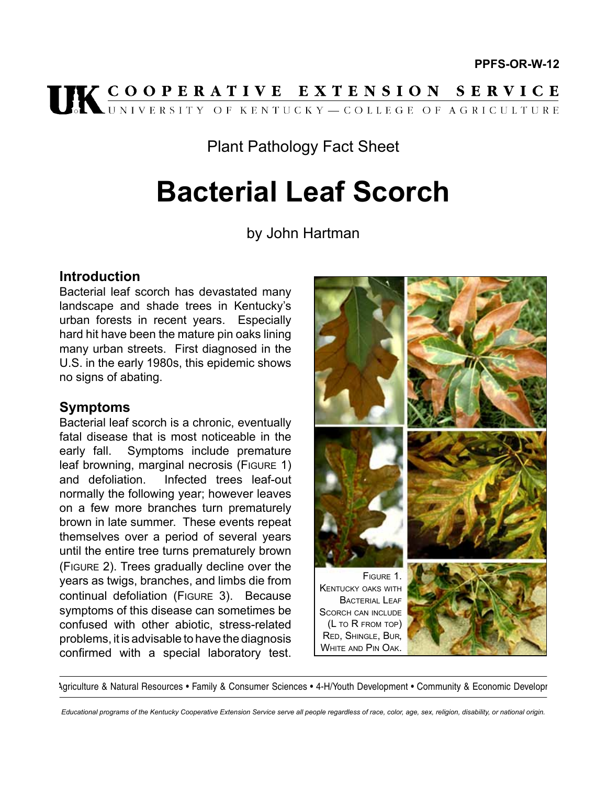

# Plant Pathology Fact Sheet

# **Bacterial Leaf Scorch**

by John Hartman

# **Introduction**

Bacterial leaf scorch has devastated many landscape and shade trees in Kentucky's urban forests in recent years. Especially hard hit have been the mature pin oaks lining many urban streets. First diagnosed in the U.S. in the early 1980s, this epidemic shows no signs of abating.

# **Symptoms**

Bacterial leaf scorch is a chronic, eventually fatal disease that is most noticeable in the early fall. Symptoms include premature leaf browning, marginal necrosis (FIGURE 1) and defoliation. Infected trees leaf-out normally the following year; however leaves on a few more branches turn prematurely brown in late summer. These events repeat themselves over a period of several years until the entire tree turns prematurely brown (Figure 2). Trees gradually decline over the years as twigs, branches, and limbs die from continual defoliation (Figure 3). Because symptoms of this disease can sometimes be confused with other abiotic, stress-related problems, it is advisable to have the diagnosis confirmed with a special laboratory test.



Agriculture & Natural Resources • Family & Consumer Sciences • 4-H/Youth Development • Community & Economic Developr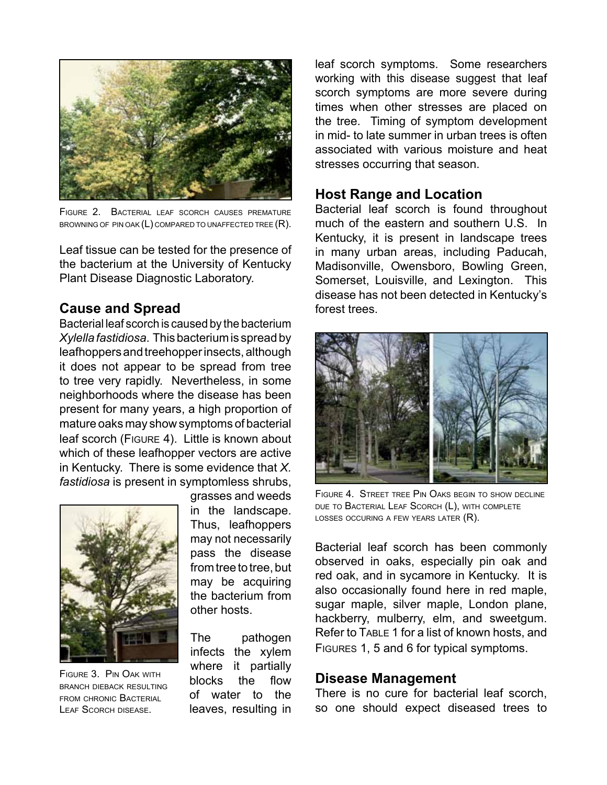

Figure 2. Bacterial leaf scorch causes premature BROWNING OF PIN OAK  $(L)$  compared to unaffected tree  $(R)$ .

Leaf tissue can be tested for the presence of the bacterium at the University of Kentucky Plant Disease Diagnostic Laboratory.

#### **Cause and Spread**

Bacterial leaf scorch is caused by the bacterium *Xylella fastidiosa*. This bacterium is spread by leafhoppers and treehopper insects, although it does not appear to be spread from tree to tree very rapidly. Nevertheless, in some neighborhoods where the disease has been present for many years, a high proportion of mature oaks may show symptoms of bacterial leaf scorch (Figure 4). Little is known about which of these leafhopper vectors are active in Kentucky. There is some evidence that *X. fastidiosa* is present in symptomless shrubs,



Figure 3. Pin Oak with branch dieback resulting from chronic Bacterial Leaf Scorch disease.

grasses and weeds in the landscape. Thus, leafhoppers may not necessarily pass the disease from tree to tree, but may be acquiring the bacterium from other hosts.

The pathogen infects the xylem where it partially blocks the flow of water to the leaves, resulting in leaf scorch symptoms. Some researchers working with this disease suggest that leaf scorch symptoms are more severe during times when other stresses are placed on the tree. Timing of symptom development in mid- to late summer in urban trees is often associated with various moisture and heat stresses occurring that season.

#### **Host Range and Location**

Bacterial leaf scorch is found throughout much of the eastern and southern U.S. In Kentucky, it is present in landscape trees in many urban areas, including Paducah, Madisonville, Owensboro, Bowling Green, Somerset, Louisville, and Lexington. This disease has not been detected in Kentucky's forest trees.



Figure 4. Street tree Pin Oaks begin to show decline DUE TO BACTERIAL LEAF SCORCH (L), WITH COMPLETE LOSSES OCCURING A FEW YEARS LATER  $(R)$ .

Bacterial leaf scorch has been commonly observed in oaks, especially pin oak and red oak, and in sycamore in Kentucky. It is also occasionally found here in red maple, sugar maple, silver maple, London plane, hackberry, mulberry, elm, and sweetgum. Refer to TABLE 1 for a list of known hosts, and Figures 1, 5 and 6 for typical symptoms.

#### **Disease Management**

There is no cure for bacterial leaf scorch, so one should expect diseased trees to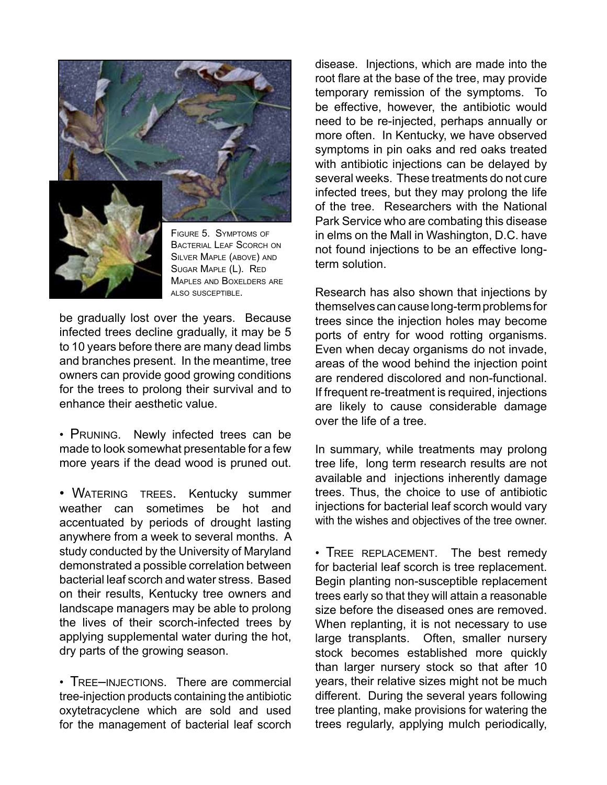

Silver Maple (above) and Sugar Maple (L). Red Maples and Boxelders are also susceptible.

be gradually lost over the years. Because infected trees decline gradually, it may be 5 to 10 years before there are many dead limbs and branches present. In the meantime, tree owners can provide good growing conditions for the trees to prolong their survival and to enhance their aesthetic value.

•  Pruning. Newly infected trees can be made to look somewhat presentable for a few more years if the dead wood is pruned out.

• WATERING TREES. Kentucky summer weather can sometimes be hot and accentuated by periods of drought lasting anywhere from a week to several months. A study conducted by the University of Maryland demonstrated a possible correlation between bacterial leaf scorch and water stress. Based on their results, Kentucky tree owners and landscape managers may be able to prolong the lives of their scorch-infected trees by applying supplemental water during the hot, dry parts of the growing season.

• TREE-INJECTIONS. There are commercial tree-injection products containing the antibiotic oxytetracyclene which are sold and used for the management of bacterial leaf scorch

disease. Injections, which are made into the root flare at the base of the tree, may provide temporary remission of the symptoms. To be effective, however, the antibiotic would need to be re-injected, perhaps annually or more often. In Kentucky, we have observed symptoms in pin oaks and red oaks treated with antibiotic injections can be delayed by several weeks. These treatments do not cure infected trees, but they may prolong the life of the tree. Researchers with the National Park Service who are combating this disease in elms on the Mall in Washington, D.C. have not found injections to be an effective longterm solution.

Research has also shown that injections by themselves can cause long-term problems for trees since the injection holes may become ports of entry for wood rotting organisms. Even when decay organisms do not invade, areas of the wood behind the injection point are rendered discolored and non-functional. If frequent re-treatment is required, injections are likely to cause considerable damage over the life of a tree.

In summary, while treatments may prolong tree life, long term research results are not available and injections inherently damage trees. Thus, the choice to use of antibiotic injections for bacterial leaf scorch would vary with the wishes and objectives of the tree owner.

•  Tree replacement. The best remedy for bacterial leaf scorch is tree replacement. Begin planting non-susceptible replacement trees early so that they will attain a reasonable size before the diseased ones are removed. When replanting, it is not necessary to use large transplants. Often, smaller nursery stock becomes established more quickly than larger nursery stock so that after 10 years, their relative sizes might not be much different. During the several years following tree planting, make provisions for watering the trees regularly, applying mulch periodically,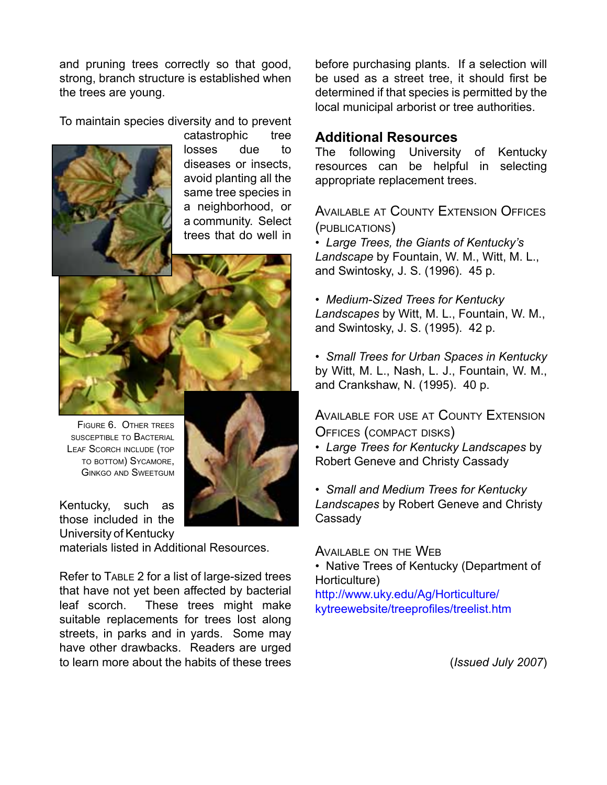and pruning trees correctly so that good, strong, branch structure is established when the trees are young.

To maintain species diversity and to prevent



catastrophic tree losses due to diseases or insects, avoid planting all the same tree species in a neighborhood, or a community. Select trees that do well in



Figure 6. Other trees susceptible to Bacterial LEAF SCORCH INCLUDE (TOP to bottom) Sycamore, Ginkgo and Sweetgum

Kentucky, such as those included in the University of Kentucky

materials listed in Additional Resources.

Refer to Table 2 for a list of large-sized trees that have not yet been affected by bacterial leaf scorch. These trees might make suitable replacements for trees lost along streets, in parks and in yards. Some may have other drawbacks. Readers are urged to learn more about the habits of these trees

before purchasing plants. If a selection will be used as a street tree, it should first be determined if that species is permitted by the local municipal arborist or tree authorities.

# **Additional Resources**

The following University of Kentucky resources can be helpful in selecting appropriate replacement trees.

Available at County Extension Offices (publications)

• *Large Trees, the Giants of Kentucky's Landscape* by Fountain, W. M., Witt, M. L., and Swintosky, J. S. (1996). 45 p.

- *Medium-Sized Trees for Kentucky Landscapes* by Witt, M. L., Fountain, W. M., and Swintosky, J. S. (1995). 42 p.
- *Small Trees for Urban Spaces in Kentucky* by Witt, M. L., Nash, L. J., Fountain, W. M., and Crankshaw, N. (1995). 40 p.

Available for use at County Extension Offices (compact disks)

• *Large Trees for Kentucky Landscapes* by Robert Geneve and Christy Cassady

• *Small and Medium Trees for Kentucky Landscapes* by Robert Geneve and Christy **Cassady** 

Available on the Web

• Native Trees of Kentucky (Department of Horticulture)

[http://www.uky.edu/Ag/Horticulture/](http://www.uky.edu/Ag/Horticulture/kytreewebsite/treeprofiles/treelist.htm) [kytreewebsite/treeprofiles/treelist.htm](http://www.uky.edu/Ag/Horticulture/kytreewebsite/treeprofiles/treelist.htm)

(*Issued July 2007*)

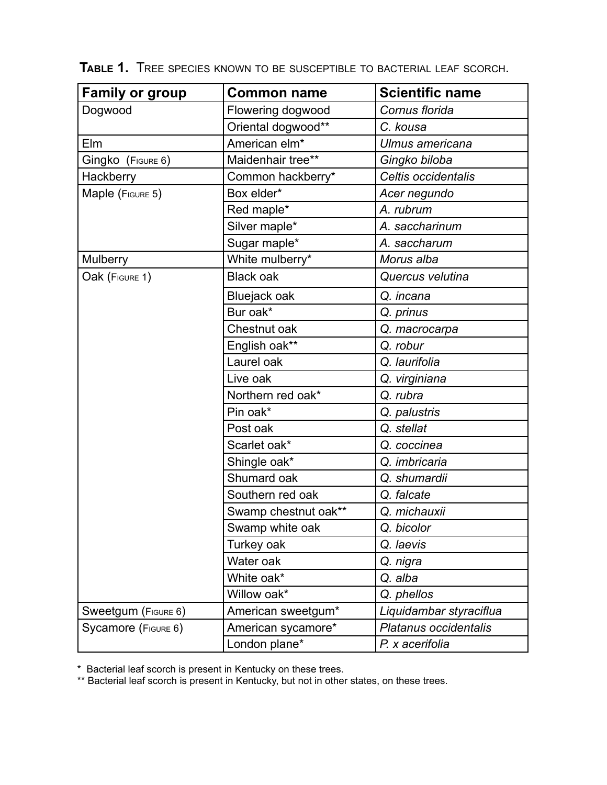| <b>Family or group</b> | <b>Common name</b>        | <b>Scientific name</b>  |
|------------------------|---------------------------|-------------------------|
| Dogwood                | Flowering dogwood         | Cornus florida          |
|                        | Oriental dogwood**        | C. kousa                |
| Elm                    | American elm <sup>*</sup> | Ulmus americana         |
| Gingko (FIGURE 6)      | Maidenhair tree**         | Gingko biloba           |
| Hackberry              | Common hackberry*         | Celtis occidentalis     |
| Maple (FIGURE 5)       | Box elder*                | Acer negundo            |
|                        | Red maple*                | A. rubrum               |
|                        | Silver maple*             | A. saccharinum          |
|                        | Sugar maple*              | A. saccharum            |
| <b>Mulberry</b>        | White mulberry*           | Morus alba              |
| Oak (FIGURE 1)         | <b>Black oak</b>          | Quercus velutina        |
|                        | Bluejack oak              | Q. incana               |
|                        | Bur oak*                  | Q. prinus               |
|                        | Chestnut oak              | Q. macrocarpa           |
|                        | English oak**             | Q. robur                |
|                        | Laurel oak                | Q. laurifolia           |
|                        | Live oak                  | Q. virginiana           |
|                        | Northern red oak*         | Q. rubra                |
|                        | Pin oak*                  | Q. palustris            |
|                        | Post oak                  | Q. stellat              |
|                        | Scarlet oak*              | Q. coccinea             |
|                        | Shingle oak*              | Q. imbricaria           |
|                        | Shumard oak               | Q. shumardii            |
|                        | Southern red oak          | Q. falcate              |
|                        | Swamp chestnut oak**      | Q. michauxii            |
|                        | Swamp white oak           | Q. bicolor              |
|                        | Turkey oak                | Q. laevis               |
|                        | Water oak                 | Q. nigra                |
|                        | White oak*                | Q. alba                 |
|                        | Willow oak*               | Q. phellos              |
| Sweetgum (FIGURE 6)    | American sweetgum*        | Liquidambar styraciflua |
| Sycamore (FIGURE 6)    | American sycamore*        | Platanus occidentalis   |
|                        | London plane*             | P. x acerifolia         |

**Table 1.** Tree species known to be susceptible to bacterial leaf scorch.

\* Bacterial leaf scorch is present in Kentucky on these trees.

\*\* Bacterial leaf scorch is present in Kentucky, but not in other states, on these trees.